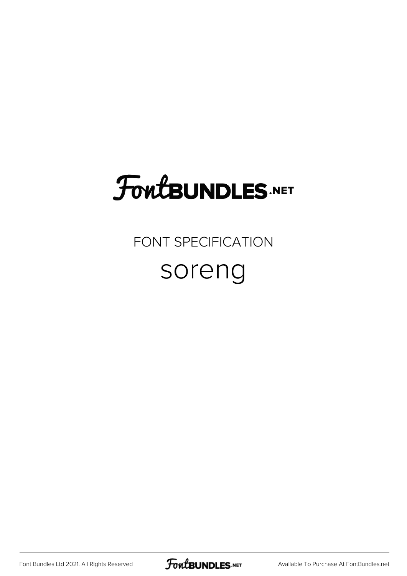## FoutBUNDLES.NET

#### FONT SPECIFICATION

#### soreng

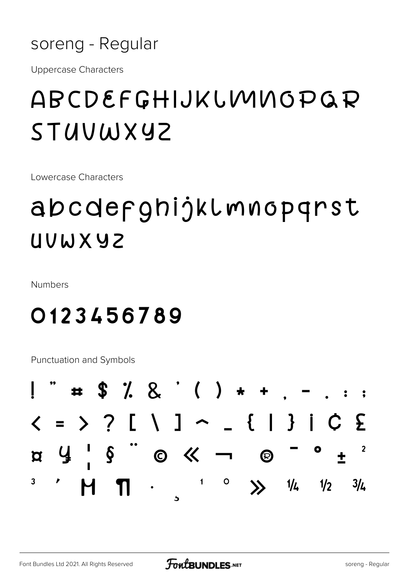

**Uppercase Characters** 

## ABCDEFGHIJKLMNOPQR STUVWXYZ

Lowercase Characters

## abcdefghijklmnopqrst UUWXYZ

Numbers

### 0123456789

**Punctuation and Symbols** 

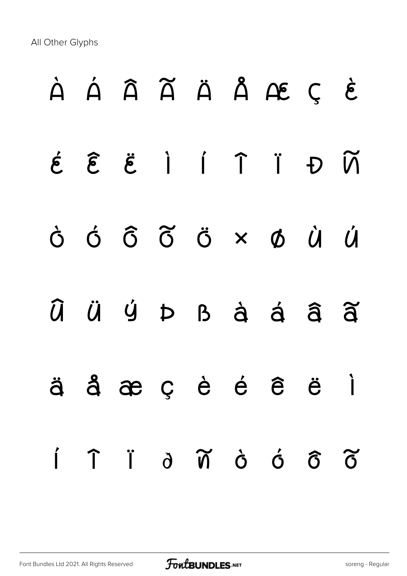All Other Glyphs

# À Á Â Ã Ä Å Æ Ç È É Ê Ë Ì Í Î Ï Ð Ñ Ò Ó Ô Õ Ö × Ø Ù Ú Û Ü Ý Þ ß à á â ã ä å æ ç è é ê ë ì í î ï ð ñ ò ó ô õ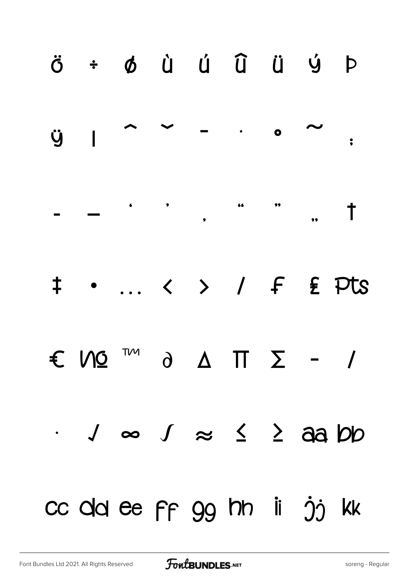